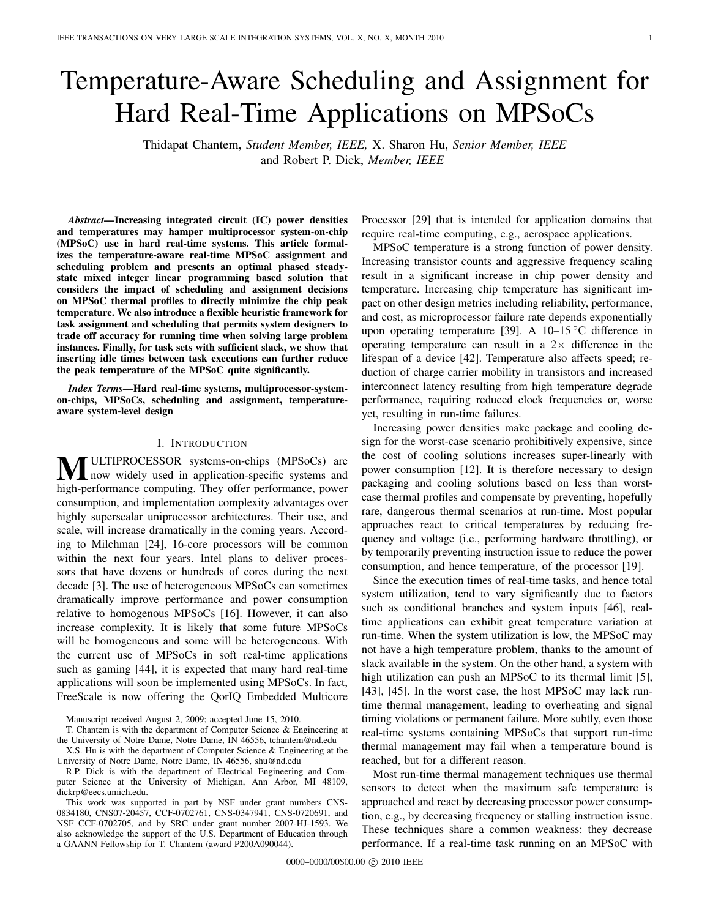# Temperature-Aware Scheduling and Assignment for Hard Real-Time Applications on MPSoCs

Thidapat Chantem, *Student Member, IEEE,* X. Sharon Hu, *Senior Member, IEEE* and Robert P. Dick, *Member, IEEE*

*Abstract*—Increasing integrated circuit (IC) power densities and temperatures may hamper multiprocessor system-on-chip (MPSoC) use in hard real-time systems. This article formalizes the temperature-aware real-time MPSoC assignment and scheduling problem and presents an optimal phased steadystate mixed integer linear programming based solution that considers the impact of scheduling and assignment decisions on MPSoC thermal profiles to directly minimize the chip peak temperature. We also introduce a flexible heuristic framework for task assignment and scheduling that permits system designers to trade off accuracy for running time when solving large problem instances. Finally, for task sets with sufficient slack, we show that inserting idle times between task executions can further reduce the peak temperature of the MPSoC quite significantly.

*Index Terms*—Hard real-time systems, multiprocessor-systemon-chips, MPSoCs, scheduling and assignment, temperatureaware system-level design

## I. INTRODUCTION

**MULTIPROCESSOR** systems-on-chips (MPSoCs) are<br>high now widely used in application-specific systems and<br>high nonformance commuting. Then offer nonformance nonun high-performance computing. They offer performance, power consumption, and implementation complexity advantages over highly superscalar uniprocessor architectures. Their use, and scale, will increase dramatically in the coming years. According to Milchman [24], 16-core processors will be common within the next four years. Intel plans to deliver processors that have dozens or hundreds of cores during the next decade [3]. The use of heterogeneous MPSoCs can sometimes dramatically improve performance and power consumption relative to homogenous MPSoCs [16]. However, it can also increase complexity. It is likely that some future MPSoCs will be homogeneous and some will be heterogeneous. With the current use of MPSoCs in soft real-time applications such as gaming [44], it is expected that many hard real-time applications will soon be implemented using MPSoCs. In fact, FreeScale is now offering the QorIQ Embedded Multicore

Manuscript received August 2, 2009; accepted June 15, 2010.

T. Chantem is with the department of Computer Science & Engineering at the University of Notre Dame, Notre Dame, IN 46556, tchantem@nd.edu

X.S. Hu is with the department of Computer Science & Engineering at the University of Notre Dame, Notre Dame, IN 46556, shu@nd.edu

R.P. Dick is with the department of Electrical Engineering and Computer Science at the University of Michigan, Ann Arbor, MI 48109, dickrp@eecs.umich.edu.

This work was supported in part by NSF under grant numbers CNS-0834180, CNS07-20457, CCF-0702761, CNS-0347941, CNS-0720691, and NSF CCF-0702705, and by SRC under grant number 2007-HJ-1593. We also acknowledge the support of the U.S. Department of Education through a GAANN Fellowship for T. Chantem (award P200A090044).

Processor [29] that is intended for application domains that require real-time computing, e.g., aerospace applications.

MPSoC temperature is a strong function of power density. Increasing transistor counts and aggressive frequency scaling result in a significant increase in chip power density and temperature. Increasing chip temperature has significant impact on other design metrics including reliability, performance, and cost, as microprocessor failure rate depends exponentially upon operating temperature [39]. A 10–15 ◦C difference in operating temperature can result in a  $2 \times$  difference in the lifespan of a device [42]. Temperature also affects speed; reduction of charge carrier mobility in transistors and increased interconnect latency resulting from high temperature degrade performance, requiring reduced clock frequencies or, worse yet, resulting in run-time failures.

Increasing power densities make package and cooling design for the worst-case scenario prohibitively expensive, since the cost of cooling solutions increases super-linearly with power consumption [12]. It is therefore necessary to design packaging and cooling solutions based on less than worstcase thermal profiles and compensate by preventing, hopefully rare, dangerous thermal scenarios at run-time. Most popular approaches react to critical temperatures by reducing frequency and voltage (i.e., performing hardware throttling), or by temporarily preventing instruction issue to reduce the power consumption, and hence temperature, of the processor [19].

Since the execution times of real-time tasks, and hence total system utilization, tend to vary significantly due to factors such as conditional branches and system inputs [46], realtime applications can exhibit great temperature variation at run-time. When the system utilization is low, the MPSoC may not have a high temperature problem, thanks to the amount of slack available in the system. On the other hand, a system with high utilization can push an MPSoC to its thermal limit [5], [43], [45]. In the worst case, the host MPSoC may lack runtime thermal management, leading to overheating and signal timing violations or permanent failure. More subtly, even those real-time systems containing MPSoCs that support run-time thermal management may fail when a temperature bound is reached, but for a different reason.

Most run-time thermal management techniques use thermal sensors to detect when the maximum safe temperature is approached and react by decreasing processor power consumption, e.g., by decreasing frequency or stalling instruction issue. These techniques share a common weakness: they decrease performance. If a real-time task running on an MPSoC with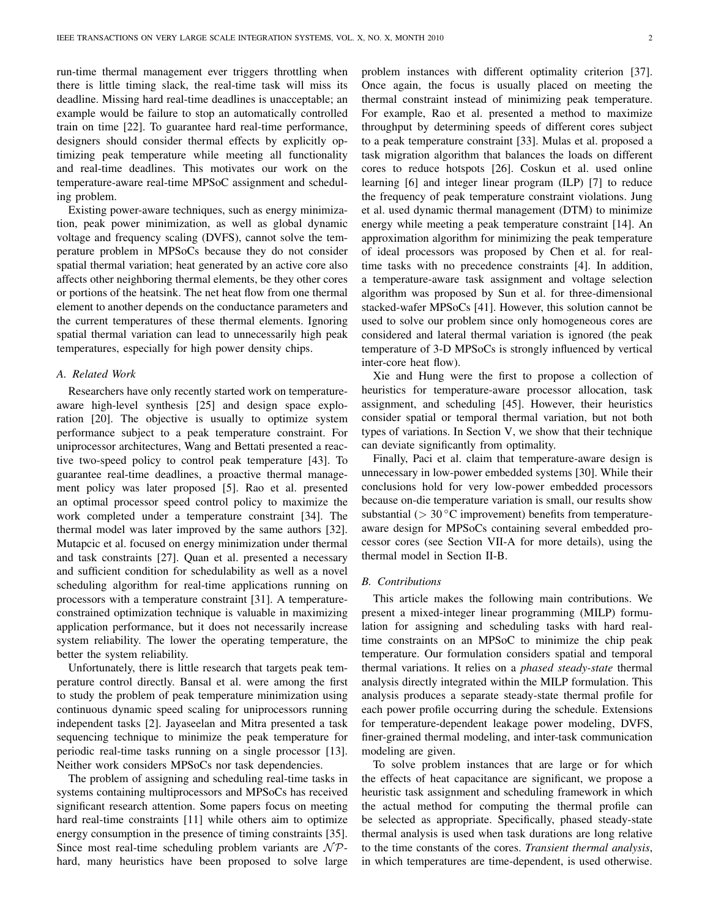run-time thermal management ever triggers throttling when there is little timing slack, the real-time task will miss its deadline. Missing hard real-time deadlines is unacceptable; an example would be failure to stop an automatically controlled train on time [22]. To guarantee hard real-time performance, designers should consider thermal effects by explicitly optimizing peak temperature while meeting all functionality and real-time deadlines. This motivates our work on the temperature-aware real-time MPSoC assignment and scheduling problem.

Existing power-aware techniques, such as energy minimization, peak power minimization, as well as global dynamic voltage and frequency scaling (DVFS), cannot solve the temperature problem in MPSoCs because they do not consider spatial thermal variation; heat generated by an active core also affects other neighboring thermal elements, be they other cores or portions of the heatsink. The net heat flow from one thermal element to another depends on the conductance parameters and the current temperatures of these thermal elements. Ignoring spatial thermal variation can lead to unnecessarily high peak temperatures, especially for high power density chips.

# *A. Related Work*

Researchers have only recently started work on temperatureaware high-level synthesis [25] and design space exploration [20]. The objective is usually to optimize system performance subject to a peak temperature constraint. For uniprocessor architectures, Wang and Bettati presented a reactive two-speed policy to control peak temperature [43]. To guarantee real-time deadlines, a proactive thermal management policy was later proposed [5]. Rao et al. presented an optimal processor speed control policy to maximize the work completed under a temperature constraint [34]. The thermal model was later improved by the same authors [32]. Mutapcic et al. focused on energy minimization under thermal and task constraints [27]. Quan et al. presented a necessary and sufficient condition for schedulability as well as a novel scheduling algorithm for real-time applications running on processors with a temperature constraint [31]. A temperatureconstrained optimization technique is valuable in maximizing application performance, but it does not necessarily increase system reliability. The lower the operating temperature, the better the system reliability.

Unfortunately, there is little research that targets peak temperature control directly. Bansal et al. were among the first to study the problem of peak temperature minimization using continuous dynamic speed scaling for uniprocessors running independent tasks [2]. Jayaseelan and Mitra presented a task sequencing technique to minimize the peak temperature for periodic real-time tasks running on a single processor [13]. Neither work considers MPSoCs nor task dependencies.

The problem of assigning and scheduling real-time tasks in systems containing multiprocessors and MPSoCs has received significant research attention. Some papers focus on meeting hard real-time constraints [11] while others aim to optimize energy consumption in the presence of timing constraints [35]. Since most real-time scheduling problem variants are  $N\mathcal{P}$ hard, many heuristics have been proposed to solve large

problem instances with different optimality criterion [37]. Once again, the focus is usually placed on meeting the thermal constraint instead of minimizing peak temperature. For example, Rao et al. presented a method to maximize throughput by determining speeds of different cores subject to a peak temperature constraint [33]. Mulas et al. proposed a task migration algorithm that balances the loads on different cores to reduce hotspots [26]. Coskun et al. used online learning [6] and integer linear program (ILP) [7] to reduce the frequency of peak temperature constraint violations. Jung et al. used dynamic thermal management (DTM) to minimize energy while meeting a peak temperature constraint [14]. An approximation algorithm for minimizing the peak temperature of ideal processors was proposed by Chen et al. for realtime tasks with no precedence constraints [4]. In addition, a temperature-aware task assignment and voltage selection algorithm was proposed by Sun et al. for three-dimensional stacked-wafer MPSoCs [41]. However, this solution cannot be used to solve our problem since only homogeneous cores are considered and lateral thermal variation is ignored (the peak temperature of 3-D MPSoCs is strongly influenced by vertical inter-core heat flow).

Xie and Hung were the first to propose a collection of heuristics for temperature-aware processor allocation, task assignment, and scheduling [45]. However, their heuristics consider spatial or temporal thermal variation, but not both types of variations. In Section V, we show that their technique can deviate significantly from optimality.

Finally, Paci et al. claim that temperature-aware design is unnecessary in low-power embedded systems [30]. While their conclusions hold for very low-power embedded processors because on-die temperature variation is small, our results show substantial ( $> 30 °C$  improvement) benefits from temperatureaware design for MPSoCs containing several embedded processor cores (see Section VII-A for more details), using the thermal model in Section II-B.

## *B. Contributions*

This article makes the following main contributions. We present a mixed-integer linear programming (MILP) formulation for assigning and scheduling tasks with hard realtime constraints on an MPSoC to minimize the chip peak temperature. Our formulation considers spatial and temporal thermal variations. It relies on a *phased steady-state* thermal analysis directly integrated within the MILP formulation. This analysis produces a separate steady-state thermal profile for each power profile occurring during the schedule. Extensions for temperature-dependent leakage power modeling, DVFS, finer-grained thermal modeling, and inter-task communication modeling are given.

To solve problem instances that are large or for which the effects of heat capacitance are significant, we propose a heuristic task assignment and scheduling framework in which the actual method for computing the thermal profile can be selected as appropriate. Specifically, phased steady-state thermal analysis is used when task durations are long relative to the time constants of the cores. *Transient thermal analysis*, in which temperatures are time-dependent, is used otherwise.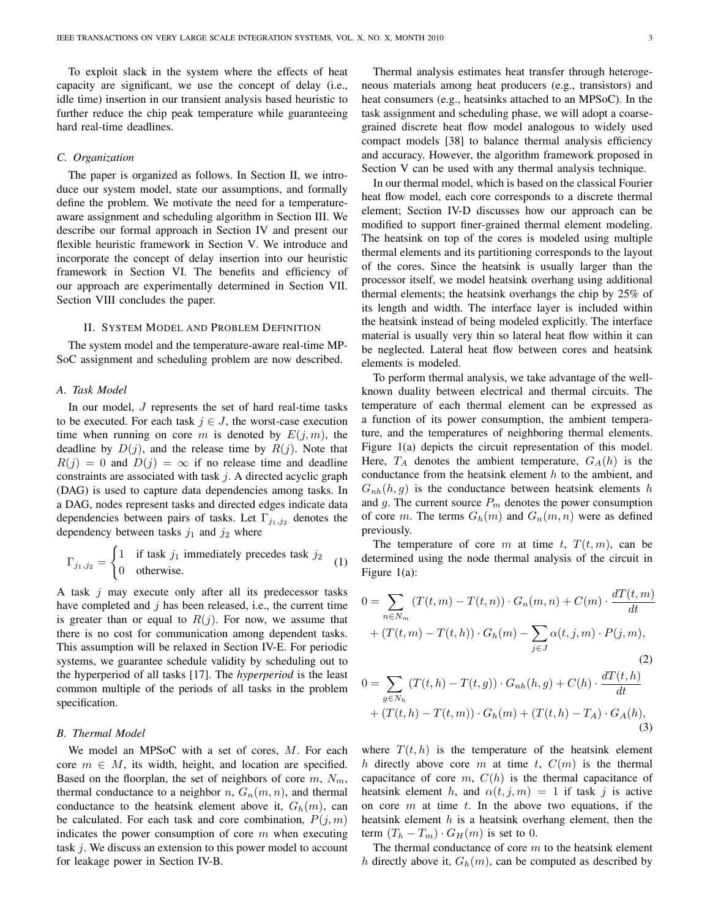To exploit slack in the system where the effects of heat capacity are significant, we use the concept of delay (i.e., idle time) insertion in our transient analysis based heuristic to further reduce the chip peak temperature while guaranteeing hard real-time deadlines.

## *C. Organization*

The paper is organized as follows. In Section II, we introduce our system model, state our assumptions, and formally define the problem. We motivate the need for a temperatureaware assignment and scheduling algorithm in Section III. We describe our formal approach in Section IV and present our flexible heuristic framework in Section V. We introduce and incorporate the concept of delay insertion into our heuristic framework in Section VI. The benefits and efficiency of our approach are experimentally determined in Section VII. Section VIII concludes the paper.

# II. SYSTEM MODEL AND PROBLEM DEFINITION

The system model and the temperature-aware real-time MP-SoC assignment and scheduling problem are now described.

## *A. Task Model*

In our model,  $J$  represents the set of hard real-time tasks to be executed. For each task  $j \in J$ , the worst-case execution time when running on core m is denoted by  $E(j, m)$ , the deadline by  $D(j)$ , and the release time by  $R(j)$ . Note that  $R(j) = 0$  and  $D(j) = \infty$  if no release time and deadline constraints are associated with task  $j$ . A directed acyclic graph (DAG) is used to capture data dependencies among tasks. In a DAG, nodes represent tasks and directed edges indicate data dependencies between pairs of tasks. Let  $\Gamma_{i_1,i_2}$  denotes the dependency between tasks  $j_1$  and  $j_2$  where

$$
\Gamma_{j_1, j_2} = \begin{cases} 1 & \text{if task } j_1 \text{ immediately precedes task } j_2 \\ 0 & \text{otherwise.} \end{cases}
$$
 (1)

A task  $j$  may execute only after all its predecessor tasks have completed and  $j$  has been released, i.e., the current time is greater than or equal to  $R(j)$ . For now, we assume that there is no cost for communication among dependent tasks. This assumption will be relaxed in Section IV-E. For periodic systems, we guarantee schedule validity by scheduling out to the hyperperiod of all tasks [17]. The *hyperperiod* is the least common multiple of the periods of all tasks in the problem specification.

# *B. Thermal Model*

We model an MPSoC with a set of cores, M. For each core  $m \in M$ , its width, height, and location are specified. Based on the floorplan, the set of neighbors of core  $m, N_m$ , thermal conductance to a neighbor  $n, G_n(m, n)$ , and thermal conductance to the heatsink element above it,  $G_h(m)$ , can be calculated. For each task and core combination,  $P(j, m)$ indicates the power consumption of core  $m$  when executing task j. We discuss an extension to this power model to account for leakage power in Section IV-B.

Thermal analysis estimates heat transfer through heterogeneous materials among heat producers (e.g., transistors) and heat consumers (e.g., heatsinks attached to an MPSoC). In the task assignment and scheduling phase, we will adopt a coarsegrained discrete heat flow model analogous to widely used compact models [38] to balance thermal analysis efficiency and accuracy. However, the algorithm framework proposed in Section V can be used with any thermal analysis technique.

In our thermal model, which is based on the classical Fourier heat flow model, each core corresponds to a discrete thermal element; Section IV-D discusses how our approach can be modified to support finer-grained thermal element modeling. The heatsink on top of the cores is modeled using multiple thermal elements and its partitioning corresponds to the layout of the cores. Since the heatsink is usually larger than the processor itself, we model heatsink overhang using additional thermal elements; the heatsink overhangs the chip by 25% of its length and width. The interface layer is included within the heatsink instead of being modeled explicitly. The interface material is usually very thin so lateral heat flow within it can be neglected. Lateral heat flow between cores and heatsink elements is modeled.

To perform thermal analysis, we take advantage of the wellknown duality between electrical and thermal circuits. The temperature of each thermal element can be expressed as a function of its power consumption, the ambient temperature, and the temperatures of neighboring thermal elements. Figure 1(a) depicts the circuit representation of this model. Here,  $T_A$  denotes the ambient temperature,  $G_A(h)$  is the conductance from the heatsink element  $h$  to the ambient, and  $G_{nh}(h, q)$  is the conductance between heatsink elements h and g. The current source  $P_m$  denotes the power consumption of core m. The terms  $G_h(m)$  and  $G_n(m, n)$  were as defined previously.

The temperature of core m at time t,  $T(t, m)$ , can be determined using the node thermal analysis of the circuit in Figure 1(a):

$$
0 = \sum_{n \in N_m} (T(t, m) - T(t, n)) \cdot G_n(m, n) + C(m) \cdot \frac{dT(t, m)}{dt}
$$
  
+  $(T(t, m) - T(t, h)) \cdot G_h(m) - \sum_{j \in J} \alpha(t, j, m) \cdot P(j, m),$   

$$
0 = \sum_{g \in N_h} (T(t, h) - T(t, g)) \cdot G_{nh}(h, g) + C(h) \cdot \frac{dT(t, h)}{dt}
$$
  
+  $(T(t, h) - T(t, m)) \cdot G_h(m) + (T(t, h) - T_A) \cdot G_A(h),$ 

where  $T(t, h)$  is the temperature of the heatsink element h directly above core m at time t,  $C(m)$  is the thermal capacitance of core  $m$ ,  $C(h)$  is the thermal capacitance of heatsink element h, and  $\alpha(t, j, m) = 1$  if task j is active on core  $m$  at time  $t$ . In the above two equations, if the heatsink element  $h$  is a heatsink overhang element, then the term  $(T_h - T_m) \cdot G_H(m)$  is set to 0.

The thermal conductance of core  $m$  to the heatsink element h directly above it,  $G_h(m)$ , can be computed as described by

(3)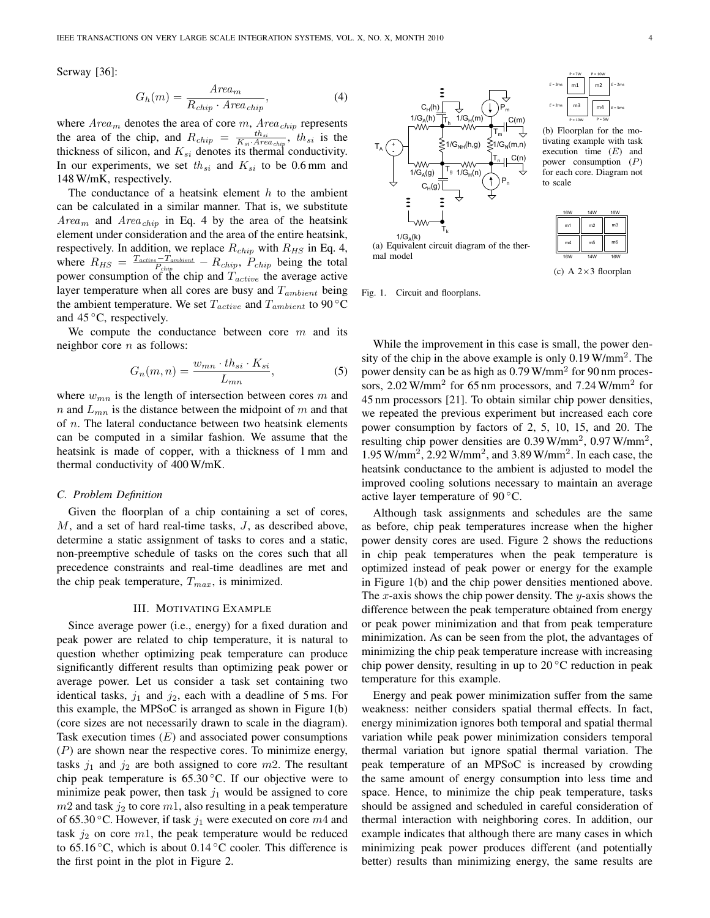Serway [36]:

$$
G_h(m) = \frac{Area_m}{R_{chip} \cdot Area_{chip}},
$$
\n(4)

where  $Area_m$  denotes the area of core m,  $Area_{chip}$  represents the area of the chip, and  $R_{chip} = \frac{th_{si}}{K_{si} \cdot Area_{chip}}$ ,  $th_{si}$  is the thickness of silicon, and  $K_{si}$  denotes its thermal conductivity. In our experiments, we set  $th_{si}$  and  $K_{si}$  to be 0.6 mm and 148 W/mK, respectively.

The conductance of a heatsink element  $h$  to the ambient can be calculated in a similar manner. That is, we substitute  $Area_m$  and  $Area_{chip}$  in Eq. 4 by the area of the heatsink element under consideration and the area of the entire heatsink, respectively. In addition, we replace  $R_{chip}$  with  $R_{HS}$  in Eq. 4, where  $R_{HS} = \frac{T_{active} - T_{ambient}}{P_{chip}} - R_{chip}$ ,  $P_{chip}$  being the total power consumption of the chip and  $T_{active}$  the average active layer temperature when all cores are busy and  $T_{ambient}$  being the ambient temperature. We set  $T_{active}$  and  $T_{ambient}$  to 90 °C and  $45^{\circ}$ C, respectively.

We compute the conductance between core  $m$  and its neighbor core  $n$  as follows:

$$
G_n(m,n) = \frac{w_{mn} \cdot th_{si} \cdot K_{si}}{L_{mn}},\tag{5}
$$

where  $w_{mn}$  is the length of intersection between cores m and n and  $L_{mn}$  is the distance between the midpoint of m and that of n. The lateral conductance between two heatsink elements can be computed in a similar fashion. We assume that the heatsink is made of copper, with a thickness of 1 mm and thermal conductivity of 400 W/mK.

## *C. Problem Definition*

Given the floorplan of a chip containing a set of cores, M, and a set of hard real-time tasks, J, as described above, determine a static assignment of tasks to cores and a static, non-preemptive schedule of tasks on the cores such that all precedence constraints and real-time deadlines are met and the chip peak temperature,  $T_{max}$ , is minimized.

#### III. MOTIVATING EXAMPLE

Since average power (i.e., energy) for a fixed duration and peak power are related to chip temperature, it is natural to question whether optimizing peak temperature can produce significantly different results than optimizing peak power or average power. Let us consider a task set containing two identical tasks,  $j_1$  and  $j_2$ , each with a deadline of 5 ms. For this example, the MPSoC is arranged as shown in Figure 1(b) (core sizes are not necessarily drawn to scale in the diagram). Task execution times  $(E)$  and associated power consumptions  $(P)$  are shown near the respective cores. To minimize energy, tasks  $j_1$  and  $j_2$  are both assigned to core m2. The resultant chip peak temperature is  $65.30\degree$ C. If our objective were to minimize peak power, then task  $j_1$  would be assigned to core  $m2$  and task  $j_2$  to core  $m1$ , also resulting in a peak temperature of 65.30 °C. However, if task  $j_1$  were executed on core  $m4$  and task  $j_2$  on core  $m_1$ , the peak temperature would be reduced to 65.16  $°C$ , which is about 0.14 °C cooler. This difference is the first point in the plot in Figure 2.

 $1/G_A(k)$  $\mathsf{T}_{\mathsf{m}}$  $\mathsf{T}_{\mathsf{n}}$  $1/G$ (m)  $1/G_H(n)$  $\mathsf{T}_\mathsf{A}$ 1/ $G_A(h)$   $T_h$  $1/G_A(g)$  | T<sub>g</sub>  $\{1/G_{NH}(h,g)\}$  $P_m$  $\mathsf{P}_\mathsf{n}$ + -  $1/G_N(m,n)$  $\mathsf{T}_{\mathsf{k}}$ C(m) C(n)  $\mathtt{C_{H}}$ (h)  $C_H(g)$ (a) Equivalent circuit diagram of the thermal model

Fig. 1. Circuit and floorplans.



(b) Floorplan for the motivating example with task execution time  $(E)$  and power consumption  $(P)$ for each core. Diagram not to scale

| <b>16W</b>     | <b>14W</b>     | <b>16W</b>     |  |
|----------------|----------------|----------------|--|
| m1             | m2             | m <sub>3</sub> |  |
| m4             | m <sub>5</sub> | m6             |  |
| 6 <sub>W</sub> |                |                |  |

(c) A  $2\times3$  floorplan

While the improvement in this case is small, the power density of the chip in the above example is only  $0.19 \text{ W/mm}^2$ . The power density can be as high as 0.79 W/mm<sup>2</sup> for 90 nm processors, 2.02 W/mm<sup>2</sup> for 65 nm processors, and 7.24 W/mm<sup>2</sup> for 45 nm processors [21]. To obtain similar chip power densities, we repeated the previous experiment but increased each core power consumption by factors of 2, 5, 10, 15, and 20. The resulting chip power densities are  $0.39$  W/mm<sup>2</sup>,  $0.97$  W/mm<sup>2</sup>, 1.95 W/mm<sup>2</sup> , 2.92 W/mm<sup>2</sup> , and 3.89 W/mm<sup>2</sup> . In each case, the heatsink conductance to the ambient is adjusted to model the improved cooling solutions necessary to maintain an average active layer temperature of  $90^{\circ}$ C.

Although task assignments and schedules are the same as before, chip peak temperatures increase when the higher power density cores are used. Figure 2 shows the reductions in chip peak temperatures when the peak temperature is optimized instead of peak power or energy for the example in Figure 1(b) and the chip power densities mentioned above. The x-axis shows the chip power density. The y-axis shows the difference between the peak temperature obtained from energy or peak power minimization and that from peak temperature minimization. As can be seen from the plot, the advantages of minimizing the chip peak temperature increase with increasing chip power density, resulting in up to  $20^{\circ}$ C reduction in peak temperature for this example.

Energy and peak power minimization suffer from the same weakness: neither considers spatial thermal effects. In fact, energy minimization ignores both temporal and spatial thermal variation while peak power minimization considers temporal thermal variation but ignore spatial thermal variation. The peak temperature of an MPSoC is increased by crowding the same amount of energy consumption into less time and space. Hence, to minimize the chip peak temperature, tasks should be assigned and scheduled in careful consideration of thermal interaction with neighboring cores. In addition, our example indicates that although there are many cases in which minimizing peak power produces different (and potentially better) results than minimizing energy, the same results are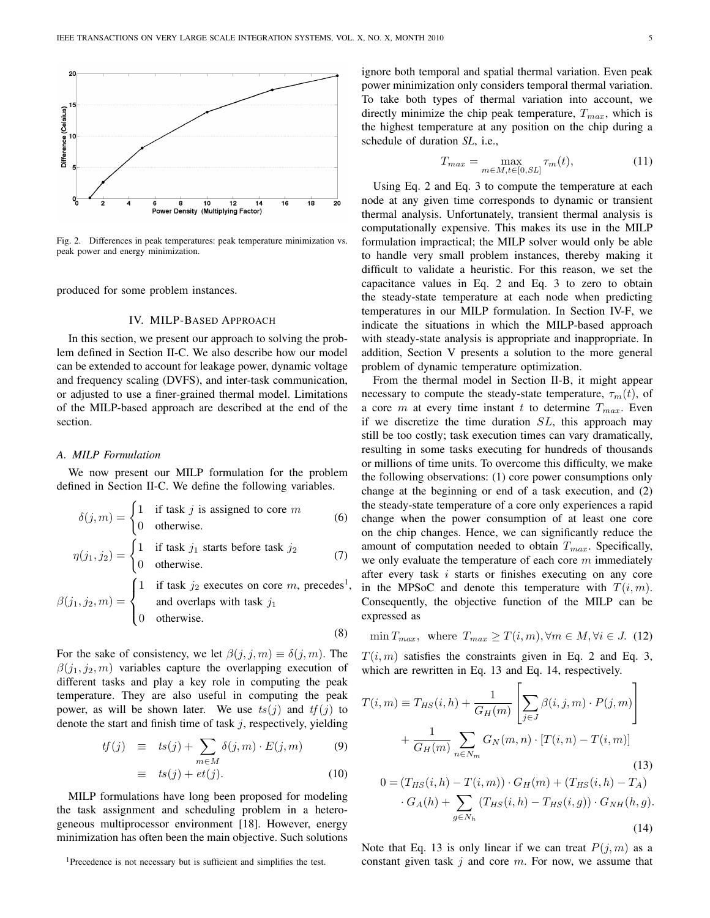

Fig. 2. Differences in peak temperatures: peak temperature minimization vs. peak power and energy minimization.

produced for some problem instances.

## IV. MILP-BASED APPROACH

In this section, we present our approach to solving the problem defined in Section II-C. We also describe how our model can be extended to account for leakage power, dynamic voltage and frequency scaling (DVFS), and inter-task communication, or adjusted to use a finer-grained thermal model. Limitations of the MILP-based approach are described at the end of the section.

# *A. MILP Formulation*

We now present our MILP formulation for the problem defined in Section II-C. We define the following variables.

$$
\delta(j, m) = \begin{cases}\n1 & \text{if task } j \text{ is assigned to core } m \\
0 & \text{otherwise.} \n\end{cases}
$$
\n
$$
\eta(j_1, j_2) = \begin{cases}\n1 & \text{if task } j_1 \text{ starts before task } j_2 \\
0 & \text{otherwise.} \n\end{cases}
$$
\n
$$
(7)
$$

$$
\beta(j_1, j_2, m) = \begin{cases}\n1 & \text{if task } j_2 \text{ executes on core } m, \text{ precedes}^1, \\
& \text{and overlaps with task } j_1 \\
& \text{otherwise.} \n\end{cases}
$$
\n(8)

For the sake of consistency, we let  $\beta(j, j, m) \equiv \delta(j, m)$ . The  $\beta(j_1, j_2, m)$  variables capture the overlapping execution of different tasks and play a key role in computing the peak temperature. They are also useful in computing the peak power, as will be shown later. We use  $ts(j)$  and  $tf(j)$  to denote the start and finish time of task  $j$ , respectively, yielding

$$
tf(j) \equiv ts(j) + \sum_{m \in M} \delta(j,m) \cdot E(j,m) \tag{9}
$$

$$
\equiv ts(j) + et(j). \tag{10}
$$

MILP formulations have long been proposed for modeling the task assignment and scheduling problem in a heterogeneous multiprocessor environment [18]. However, energy minimization has often been the main objective. Such solutions

<sup>1</sup>Precedence is not necessary but is sufficient and simplifies the test.

ignore both temporal and spatial thermal variation. Even peak power minimization only considers temporal thermal variation. To take both types of thermal variation into account, we directly minimize the chip peak temperature,  $T_{max}$ , which is the highest temperature at any position on the chip during a schedule of duration *SL*, i.e.,

$$
T_{max} = \max_{m \in M, t \in [0, SL]} \tau_m(t), \tag{11}
$$

Using Eq. 2 and Eq. 3 to compute the temperature at each node at any given time corresponds to dynamic or transient thermal analysis. Unfortunately, transient thermal analysis is computationally expensive. This makes its use in the MILP formulation impractical; the MILP solver would only be able to handle very small problem instances, thereby making it difficult to validate a heuristic. For this reason, we set the capacitance values in Eq. 2 and Eq. 3 to zero to obtain the steady-state temperature at each node when predicting temperatures in our MILP formulation. In Section IV-F, we indicate the situations in which the MILP-based approach with steady-state analysis is appropriate and inappropriate. In addition, Section V presents a solution to the more general problem of dynamic temperature optimization.

From the thermal model in Section II-B, it might appear necessary to compute the steady-state temperature,  $\tau_m(t)$ , of a core m at every time instant t to determine  $T_{max}$ . Even if we discretize the time duration  $SL$ , this approach may still be too costly; task execution times can vary dramatically, resulting in some tasks executing for hundreds of thousands or millions of time units. To overcome this difficulty, we make the following observations: (1) core power consumptions only change at the beginning or end of a task execution, and (2) the steady-state temperature of a core only experiences a rapid change when the power consumption of at least one core on the chip changes. Hence, we can significantly reduce the amount of computation needed to obtain  $T_{max}$ . Specifically, we only evaluate the temperature of each core  $m$  immediately after every task  $i$  starts or finishes executing on any core in the MPSoC and denote this temperature with  $T(i, m)$ . Consequently, the objective function of the MILP can be expressed as

$$
\min T_{max}, \text{ where } T_{max} \ge T(i, m), \forall m \in M, \forall i \in J. (12)
$$

 $T(i, m)$  satisfies the constraints given in Eq. 2 and Eq. 3, which are rewritten in Eq. 13 and Eq. 14, respectively.

$$
T(i, m) \equiv T_{HS}(i, h) + \frac{1}{G_H(m)} \left[ \sum_{j \in J} \beta(i, j, m) \cdot P(j, m) \right] + \frac{1}{G_H(m)} \sum_{n \in N_m} G_N(m, n) \cdot [T(i, n) - T(i, m)]
$$
(13)  

$$
0 = (T_{HS}(i, h) - T(i, m)) \cdot G_H(m) + (T_{HS}(i, h) - T_A) \cdot G_A(h) + \sum_{g \in N_h} (T_{HS}(i, h) - T_{HS}(i, g)) \cdot G_{NH}(h, g).
$$
(14)

Note that Eq. 13 is only linear if we can treat  $P(j, m)$  as a constant given task  $j$  and core  $m$ . For now, we assume that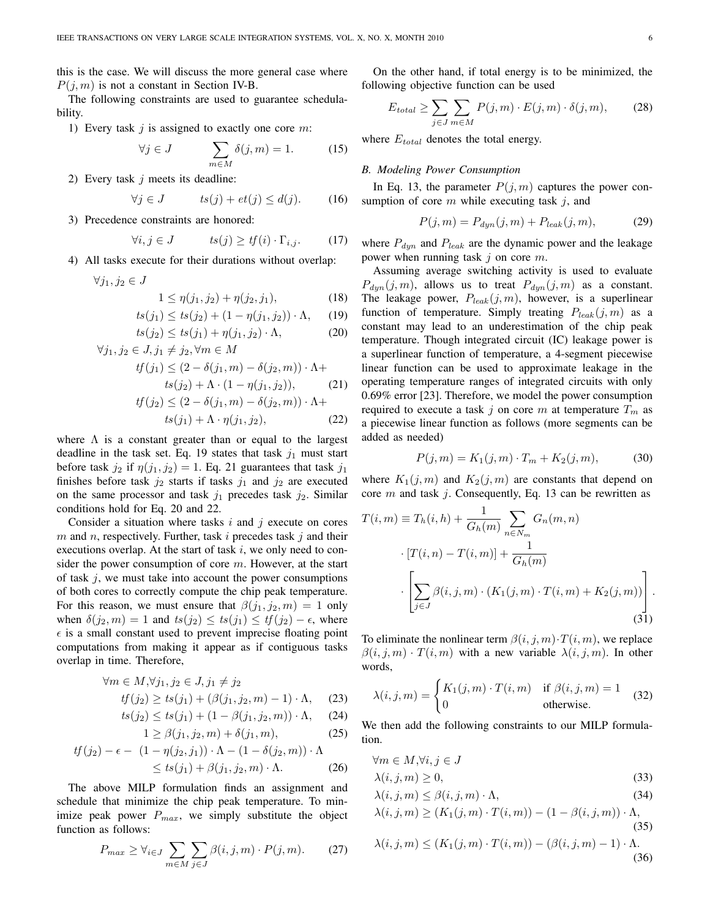this is the case. We will discuss the more general case where  $P(i, m)$  is not a constant in Section IV-B.

The following constraints are used to guarantee schedulability.

1) Every task  $j$  is assigned to exactly one core  $m$ :

$$
\forall j \in J \qquad \sum_{m \in M} \delta(j, m) = 1. \tag{15}
$$

2) Every task  $j$  meets its deadline:

$$
\forall j \in J \qquad \qquad ts(j) + et(j) \le d(j). \tag{16}
$$

3) Precedence constraints are honored:

$$
\forall i, j \in J \qquad \qquad ts(j) \geq tf(i) \cdot \Gamma_{i,j}.\tag{17}
$$

4) All tasks execute for their durations without overlap:

 $\forall j_1, j_2 \in J$ 

$$
1 \le \eta(j_1, j_2) + \eta(j_2, j_1),\tag{18}
$$

$$
ts(j_1) \le ts(j_2) + (1 - \eta(j_1, j_2)) \cdot \Lambda, \quad (19)
$$

$$
ts(j_2) \le ts(j_1) + \eta(j_1, j_2) \cdot \Lambda,\tag{20}
$$

$$
\forall j_1, j_2 \in J, j_1 \neq j_2, \forall m \in M
$$
  
\n
$$
tf(j_1) \leq (2 - \delta(j_1, m) - \delta(j_2, m)) \cdot \Lambda +
$$
  
\n
$$
ts(j_2) + \Lambda \cdot (1 - \eta(j_1, j_2)),
$$
  
\n
$$
tf(j_2) \leq (2 - \delta(j_1, m) - \delta(j_2, m)) \cdot \Lambda +
$$
  
\n
$$
ts(i_1) + \Lambda \cdot r(i_2, j_2)
$$
 (22)

$$
ts(j_1) + \Lambda \cdot \eta(j_1, j_2), \tag{22}
$$

where  $\Lambda$  is a constant greater than or equal to the largest deadline in the task set. Eq. 19 states that task  $j_1$  must start before task  $j_2$  if  $\eta(j_1, j_2) = 1$ . Eq. 21 guarantees that task  $j_1$ finishes before task  $j_2$  starts if tasks  $j_1$  and  $j_2$  are executed on the same processor and task  $j_1$  precedes task  $j_2$ . Similar conditions hold for Eq. 20 and 22.

Consider a situation where tasks  $i$  and  $j$  execute on cores  $m$  and  $n$ , respectively. Further, task  $i$  precedes task  $j$  and their executions overlap. At the start of task  $i$ , we only need to consider the power consumption of core  $m$ . However, at the start of task  $j$ , we must take into account the power consumptions of both cores to correctly compute the chip peak temperature. For this reason, we must ensure that  $\beta(j_1, j_2, m) = 1$  only when  $\delta(j_2, m) = 1$  and  $ts(j_2) \leq ts(j_1) \leq tf(j_2) - \epsilon$ , where  $\epsilon$  is a small constant used to prevent imprecise floating point computations from making it appear as if contiguous tasks overlap in time. Therefore,

$$
\forall m \in M, \forall j_1, j_2 \in J, j_1 \neq j_2
$$
  

$$
tf(j_2) \geq ts(j_1) + (\beta(j_1, j_2, m) - 1) \cdot \Lambda,
$$
 (23)

$$
ts(j_2) \le ts(j_1) + (1 - \beta(j_1, j_2, m)) \cdot \Lambda, \quad (24)
$$

$$
1 \ge \beta(j_1, j_2, m) + \delta(j_1, m), \tag{25}
$$

$$
tf(j_2) - \epsilon - (1 - \eta(j_2, j_1)) \cdot \Lambda - (1 - \delta(j_2, m)) \cdot \Lambda
$$
  
\$\leq ts(j\_1) + \beta(j\_1, j\_2, m) \cdot \Lambda\$. (26)

The above MILP formulation finds an assignment and schedule that minimize the chip peak temperature. To minimize peak power  $P_{max}$ , we simply substitute the object function as follows:

$$
P_{max} \ge \forall_{i \in J} \sum_{m \in M} \sum_{j \in J} \beta(i, j, m) \cdot P(j, m). \tag{27}
$$

On the other hand, if total energy is to be minimized, the following objective function can be used

$$
E_{total} \ge \sum_{j \in J} \sum_{m \in M} P(j, m) \cdot E(j, m) \cdot \delta(j, m), \tag{28}
$$

where  $E_{total}$  denotes the total energy.

## *B. Modeling Power Consumption*

In Eq. 13, the parameter  $P(i, m)$  captures the power consumption of core  $m$  while executing task  $j$ , and

$$
P(j,m) = P_{dyn}(j,m) + P_{leak}(j,m),
$$
 (29)

where  $P_{dyn}$  and  $P_{leak}$  are the dynamic power and the leakage power when running task  $j$  on core  $m$ .

Assuming average switching activity is used to evaluate  $P_{dyn}(j,m)$ , allows us to treat  $P_{dyn}(j,m)$  as a constant. The leakage power,  $P_{leak}(j, m)$ , however, is a superlinear function of temperature. Simply treating  $P_{leak}(j, m)$  as a constant may lead to an underestimation of the chip peak temperature. Though integrated circuit (IC) leakage power is a superlinear function of temperature, a 4-segment piecewise linear function can be used to approximate leakage in the operating temperature ranges of integrated circuits with only 0.69% error [23]. Therefore, we model the power consumption required to execute a task j on core m at temperature  $T_m$  as a piecewise linear function as follows (more segments can be added as needed)

$$
P(j,m) = K_1(j,m) \cdot T_m + K_2(j,m), \tag{30}
$$

where  $K_1(j,m)$  and  $K_2(j,m)$  are constants that depend on core  $m$  and task  $j$ . Consequently, Eq. 13 can be rewritten as

$$
T(i, m) \equiv T_h(i, h) + \frac{1}{G_h(m)} \sum_{n \in N_m} G_n(m, n)
$$

$$
[T(i, n) - T(i, m)] + \frac{1}{G_h(m)}
$$

$$
\left[ \sum_{j \in J} \beta(i, j, m) \cdot (K_1(j, m) \cdot T(i, m) + K_2(j, m)) \right].
$$
(31)

To eliminate the nonlinear term  $\beta(i, j, m) \cdot T(i, m)$ , we replace  $\beta(i, j, m) \cdot T(i, m)$  with a new variable  $\lambda(i, j, m)$ . In other words,

$$
\lambda(i,j,m) = \begin{cases} K_1(j,m) \cdot T(i,m) & \text{if } \beta(i,j,m) = 1\\ 0 & \text{otherwise.} \end{cases}
$$
 (32)

We then add the following constraints to our MILP formulation.

 $\theta$  = M,  $\theta$ 

$$
\forall m \in M, \forall i, j \in J
$$
  
 
$$
\lambda(i, j, m) \ge 0,
$$
 (33)

$$
\lambda(i,j,m) \le \beta(i,j,m) \cdot \Lambda,\tag{34}
$$

$$
\lambda(i,j,m) \ge (K_1(j,m) \cdot T(i,m)) - (1 - \beta(i,j,m)) \cdot \Lambda,
$$
\n(35)

$$
\lambda(i,j,m) \le (K_1(j,m) \cdot T(i,m)) - (\beta(i,j,m) - 1) \cdot \Lambda.
$$
\n(36)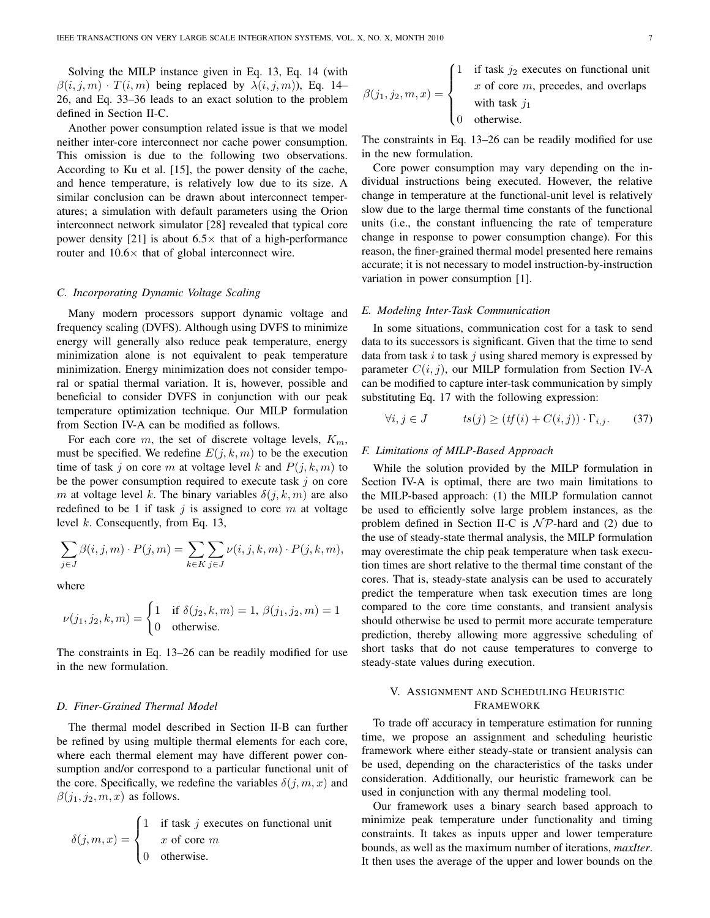Solving the MILP instance given in Eq. 13, Eq. 14 (with  $\beta(i, j, m) \cdot T(i, m)$  being replaced by  $\lambda(i, j, m)$ ), Eq. 14– 26, and Eq. 33–36 leads to an exact solution to the problem defined in Section II-C.

Another power consumption related issue is that we model neither inter-core interconnect nor cache power consumption. This omission is due to the following two observations. According to Ku et al. [15], the power density of the cache, and hence temperature, is relatively low due to its size. A similar conclusion can be drawn about interconnect temperatures; a simulation with default parameters using the Orion interconnect network simulator [28] revealed that typical core power density [21] is about  $6.5\times$  that of a high-performance router and  $10.6\times$  that of global interconnect wire.

## *C. Incorporating Dynamic Voltage Scaling*

Many modern processors support dynamic voltage and frequency scaling (DVFS). Although using DVFS to minimize energy will generally also reduce peak temperature, energy minimization alone is not equivalent to peak temperature minimization. Energy minimization does not consider temporal or spatial thermal variation. It is, however, possible and beneficial to consider DVFS in conjunction with our peak temperature optimization technique. Our MILP formulation from Section IV-A can be modified as follows.

For each core m, the set of discrete voltage levels,  $K_m$ , must be specified. We redefine  $E(j, k, m)$  to be the execution time of task j on core m at voltage level k and  $P(j, k, m)$  to be the power consumption required to execute task  $j$  on core m at voltage level k. The binary variables  $\delta(j, k, m)$  are also redefined to be 1 if task  $j$  is assigned to core  $m$  at voltage level k. Consequently, from Eq. 13,

$$
\sum_{j \in J} \beta(i, j, m) \cdot P(j, m) = \sum_{k \in K} \sum_{j \in J} \nu(i, j, k, m) \cdot P(j, k, m),
$$

where

$$
\nu(j_1, j_2, k, m) = \begin{cases} 1 & \text{if } \delta(j_2, k, m) = 1, \, \beta(j_1, j_2, m) = 1 \\ 0 & \text{otherwise.} \end{cases}
$$

The constraints in Eq. 13–26 can be readily modified for use in the new formulation.

# *D. Finer-Grained Thermal Model*

The thermal model described in Section II-B can further be refined by using multiple thermal elements for each core, where each thermal element may have different power consumption and/or correspond to a particular functional unit of the core. Specifically, we redefine the variables  $\delta(j, m, x)$  and  $\beta(j_1, j_2, m, x)$  as follows.

$$
\delta(j, m, x) = \begin{cases} 1 & \text{if task } j \text{ executes on functional unit} \\ x & \text{of core } m \\ 0 & \text{otherwise.} \end{cases}
$$

$$
\beta(j_1, j_2, m, x) = \begin{cases}\n1 & \text{if task } j_2 \text{ executes on functional unit} \\
x & \text{of core } m, \text{ precedes, and overlaps} \\
& \text{with task } j_1 \\
0 & \text{otherwise.} \n\end{cases}
$$

The constraints in Eq. 13–26 can be readily modified for use in the new formulation.

Core power consumption may vary depending on the individual instructions being executed. However, the relative change in temperature at the functional-unit level is relatively slow due to the large thermal time constants of the functional units (i.e., the constant influencing the rate of temperature change in response to power consumption change). For this reason, the finer-grained thermal model presented here remains accurate; it is not necessary to model instruction-by-instruction variation in power consumption [1].

#### *E. Modeling Inter-Task Communication*

In some situations, communication cost for a task to send data to its successors is significant. Given that the time to send data from task  $i$  to task  $j$  using shared memory is expressed by parameter  $C(i, j)$ , our MILP formulation from Section IV-A can be modified to capture inter-task communication by simply substituting Eq. 17 with the following expression:

$$
\forall i, j \in J \qquad \qquad ts(j) \ge (tf(i) + C(i,j)) \cdot \Gamma_{i,j}.\tag{37}
$$

# *F. Limitations of MILP-Based Approach*

While the solution provided by the MILP formulation in Section IV-A is optimal, there are two main limitations to the MILP-based approach: (1) the MILP formulation cannot be used to efficiently solve large problem instances, as the problem defined in Section II-C is  $\mathcal{NP}$ -hard and (2) due to the use of steady-state thermal analysis, the MILP formulation may overestimate the chip peak temperature when task execution times are short relative to the thermal time constant of the cores. That is, steady-state analysis can be used to accurately predict the temperature when task execution times are long compared to the core time constants, and transient analysis should otherwise be used to permit more accurate temperature prediction, thereby allowing more aggressive scheduling of short tasks that do not cause temperatures to converge to steady-state values during execution.

# V. ASSIGNMENT AND SCHEDULING HEURISTIC FRAMEWORK

To trade off accuracy in temperature estimation for running time, we propose an assignment and scheduling heuristic framework where either steady-state or transient analysis can be used, depending on the characteristics of the tasks under consideration. Additionally, our heuristic framework can be used in conjunction with any thermal modeling tool.

Our framework uses a binary search based approach to minimize peak temperature under functionality and timing constraints. It takes as inputs upper and lower temperature bounds, as well as the maximum number of iterations, *maxIter*. It then uses the average of the upper and lower bounds on the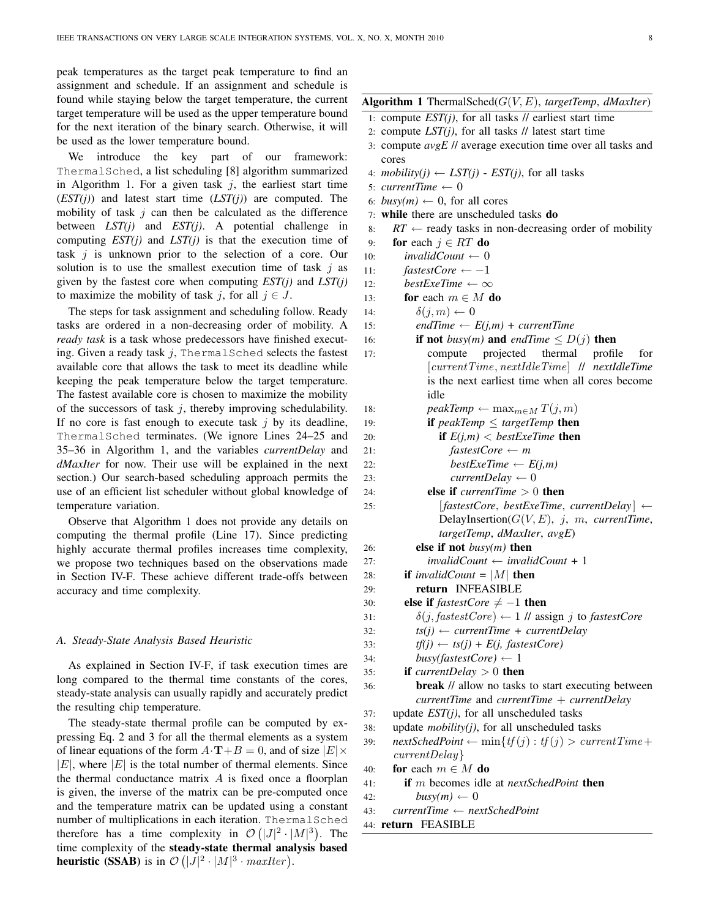peak temperatures as the target peak temperature to find an assignment and schedule. If an assignment and schedule is found while staying below the target temperature, the current target temperature will be used as the upper temperature bound for the next iteration of the binary search. Otherwise, it will be used as the lower temperature bound.

We introduce the key part of our framework: ThermalSched, a list scheduling [8] algorithm summarized in Algorithm 1. For a given task  $j$ , the earliest start time (*EST(j)*) and latest start time (*LST(j)*) are computed. The mobility of task  $j$  can then be calculated as the difference between *LST(j)* and *EST(j)*. A potential challenge in computing *EST(j)* and *LST(j)* is that the execution time of task  $j$  is unknown prior to the selection of a core. Our solution is to use the smallest execution time of task  $j$  as given by the fastest core when computing *EST(j)* and *LST(j)* to maximize the mobility of task j, for all  $j \in J$ .

The steps for task assignment and scheduling follow. Ready tasks are ordered in a non-decreasing order of mobility. A *ready task* is a task whose predecessors have finished executing. Given a ready task  $j$ , ThermalSched selects the fastest available core that allows the task to meet its deadline while keeping the peak temperature below the target temperature. The fastest available core is chosen to maximize the mobility of the successors of task  $j$ , thereby improving schedulability. If no core is fast enough to execute task  $i$  by its deadline, ThermalSched terminates. (We ignore Lines 24–25 and 35–36 in Algorithm 1, and the variables *currentDelay* and *dMaxIter* for now. Their use will be explained in the next section.) Our search-based scheduling approach permits the use of an efficient list scheduler without global knowledge of temperature variation.

Observe that Algorithm 1 does not provide any details on computing the thermal profile (Line 17). Since predicting highly accurate thermal profiles increases time complexity, we propose two techniques based on the observations made in Section IV-F. These achieve different trade-offs between accuracy and time complexity.

#### *A. Steady-State Analysis Based Heuristic*

As explained in Section IV-F, if task execution times are long compared to the thermal time constants of the cores, steady-state analysis can usually rapidly and accurately predict the resulting chip temperature.

The steady-state thermal profile can be computed by expressing Eq. 2 and 3 for all the thermal elements as a system of linear equations of the form  $A \cdot T + B = 0$ , and of size  $|E| \times$  $|E|$ , where  $|E|$  is the total number of thermal elements. Since the thermal conductance matrix  $A$  is fixed once a floorplan is given, the inverse of the matrix can be pre-computed once and the temperature matrix can be updated using a constant number of multiplications in each iteration. ThermalSched therefore has a time complexity in  $\mathcal{O}(|J|^2 \cdot |M|^3)$ . The time complexity of the steady-state thermal analysis based **heuristic (SSAB)** is in  $\mathcal{O}(|J|^2 \cdot |M|^3 \cdot \textit{maxIter})$ .

# Algorithm 1 ThermalSched(G(V, E), *targetTemp*, *dMaxIter*)

- 1: compute  $EST(j)$ , for all tasks  $//$  earliest start time
- 2: compute *LST(j)*, for all tasks // latest start time
- 3: compute *avgE* // average execution time over all tasks and cores
- 4: *mobility(j)*  $\leftarrow$  *LST(j) EST(j)*, for all tasks
- 5:  $currentTime \leftarrow 0$
- 6:  $busy(m) \leftarrow 0$ , for all cores
- 7: while there are unscheduled tasks do
- 8:  $RT \leftarrow$  ready tasks in non-decreasing order of mobility
- 9: for each  $j \in RT$  do
- 10:  $invalidCount \leftarrow 0$
- 11:  $fastestCore \leftarrow -1$
- 12: *bestExeTime*  $\leftarrow \infty$
- 13: **for** each  $m \in M$  **do**
- 14:  $\delta(j, m) \leftarrow 0$
- 15: *endTime*  $\leftarrow E(j,m) + currentTime$
- 16: **if not** *busy(m)* and *endTime*  $\leq D(j)$  **then** 17: compute projected thermal profile for [currentTime, nextIdleTime] // *nextIdleTime* is the next earliest time when all cores become idle 18: *peakTemp* ←  $\max_{m \in M} T(j, m)$ 19: **if**  $peakTemp \leq targetTemp$  **then**

```
20: if E(j,m) < bestExeTime then
```
21:  $\qquad\qquad\qquad\qquad\qquad\qquad \qquad \text{fastestCore}\leftarrow\qquad\qquad m$ 

```
22: \text{bestExeTime} \leftarrow E(j,m)
```
23:  $currentDelay \leftarrow 0$ 

- 24: **else if**  $currentTime > 0$  **then** 25: [*fastestCore*, *bestExeTime*, *currentDelay* ] ← DelayInsertion( $G(V, E)$ , j, m, *currentTime*, *targetTemp*, *dMaxIter*, *avgE*)
- 26: else if not *busy(m)* then
- 27: *invalidCount* ← *invalidCount* + 1
- 28: **if** *invalidCount* =  $|M|$  **then**
- 29: return INFEASIBLE
- 30: **else if**  $\text{f}$  astestCore  $\neq -1$  then
- 31:  $\delta(j, \text{fastestCore}) \leftarrow 1 \text{ // assign } j \text{ to \text{fastestCore}}$
- 32:  $ts(j) \leftarrow currentTime + currentDelay$
- 33:  $tf(j) \leftarrow ts(j) + E(j, \text{fastestCore})$
- 34:  $busv(fasterCore) \leftarrow 1$
- 35: **if** *currentDelay*  $> 0$  **then** 36: break // allow no tasks to start executing between *currentTime* and *currentTime* + *currentDelay*
- 37: update *EST(j)*, for all unscheduled tasks
- 38: update *mobility(j)*, for all unscheduled tasks
- 39:  $nextSchedPoint \leftarrow min{tf(j): tf(j) > currentTime +}$ currentDelay}
- 40: for each  $m \in M$  do
- 41: if m becomes idle at *nextSchedPoint* then
- 42:  $busy(m) \leftarrow 0$
- 43: *currentTime* ← *nextSchedPoint*
- 44: return FEASIBLE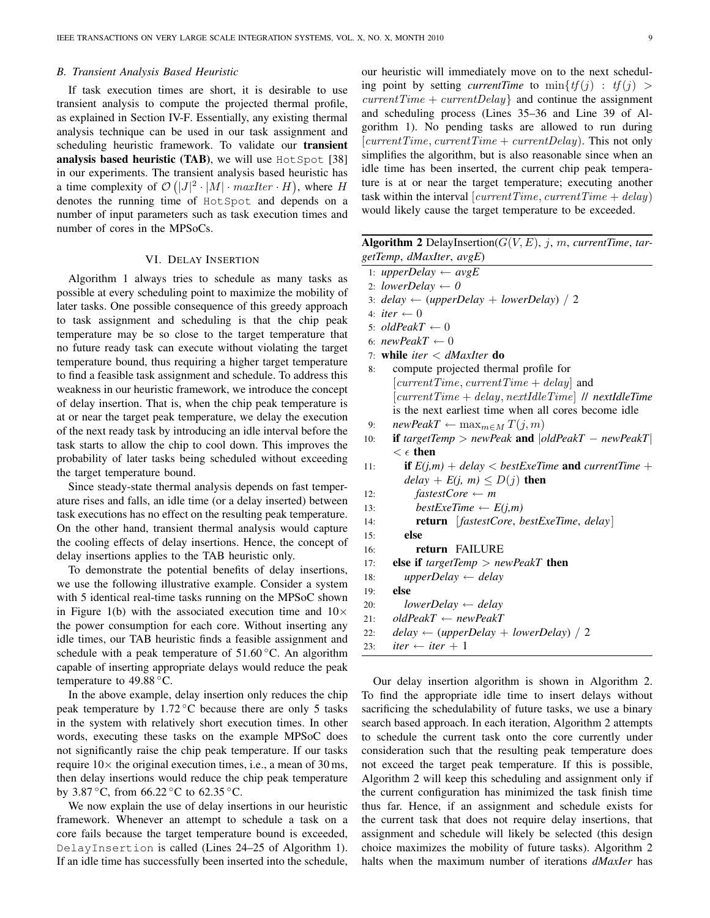## *B. Transient Analysis Based Heuristic*

If task execution times are short, it is desirable to use transient analysis to compute the projected thermal profile, as explained in Section IV-F. Essentially, any existing thermal analysis technique can be used in our task assignment and scheduling heuristic framework. To validate our transient analysis based heuristic (TAB), we will use  $HotSpot [38]$ in our experiments. The transient analysis based heuristic has a time complexity of  $\mathcal{O}(|J|^2 \cdot |M| \cdot \textit{maxIter} \cdot H)$ , where H denotes the running time of HotSpot and depends on a number of input parameters such as task execution times and number of cores in the MPSoCs.

## VI. DELAY INSERTION

Algorithm 1 always tries to schedule as many tasks as possible at every scheduling point to maximize the mobility of later tasks. One possible consequence of this greedy approach to task assignment and scheduling is that the chip peak temperature may be so close to the target temperature that no future ready task can execute without violating the target temperature bound, thus requiring a higher target temperature to find a feasible task assignment and schedule. To address this weakness in our heuristic framework, we introduce the concept of delay insertion. That is, when the chip peak temperature is at or near the target peak temperature, we delay the execution of the next ready task by introducing an idle interval before the task starts to allow the chip to cool down. This improves the probability of later tasks being scheduled without exceeding the target temperature bound.

Since steady-state thermal analysis depends on fast temperature rises and falls, an idle time (or a delay inserted) between task executions has no effect on the resulting peak temperature. On the other hand, transient thermal analysis would capture the cooling effects of delay insertions. Hence, the concept of delay insertions applies to the TAB heuristic only.

To demonstrate the potential benefits of delay insertions, we use the following illustrative example. Consider a system with 5 identical real-time tasks running on the MPSoC shown in Figure 1(b) with the associated execution time and  $10\times$ the power consumption for each core. Without inserting any idle times, our TAB heuristic finds a feasible assignment and schedule with a peak temperature of  $51.60\,^{\circ}\text{C}$ . An algorithm capable of inserting appropriate delays would reduce the peak temperature to  $49.88 \degree C$ .

In the above example, delay insertion only reduces the chip peak temperature by  $1.72 \degree C$  because there are only 5 tasks in the system with relatively short execution times. In other words, executing these tasks on the example MPSoC does not significantly raise the chip peak temperature. If our tasks require  $10\times$  the original execution times, i.e., a mean of 30 ms, then delay insertions would reduce the chip peak temperature by 3.87  $\degree$ C, from 66.22  $\degree$ C to 62.35  $\degree$ C.

We now explain the use of delay insertions in our heuristic framework. Whenever an attempt to schedule a task on a core fails because the target temperature bound is exceeded, DelayInsertion is called (Lines 24–25 of Algorithm 1). If an idle time has successfully been inserted into the schedule,

our heuristic will immediately move on to the next scheduling point by setting *currentTime* to  $\min\{tf(j) : tf(j) >$  $currentTime + currentDelay$  and continue the assignment and scheduling process (Lines 35–36 and Line 39 of Algorithm 1). No pending tasks are allowed to run during  $[currentTime, currentTime + currentDelay)$ . This not only simplifies the algorithm, but is also reasonable since when an idle time has been inserted, the current chip peak temperature is at or near the target temperature; executing another task within the interval  $[currentTime, currentTime + delay)$ would likely cause the target temperature to be exceeded.

| <b>Algorithm 2</b> DelayInsertion( $G(V, E)$ , j, m, currentTime, tar- |  |
|------------------------------------------------------------------------|--|
| getTemp, dMaxIter, avgE)                                               |  |

- 1:  $upperDelay \leftarrow avgE$
- 2: *lowerDelay*  $\leftarrow 0$
- 3:  $delay \leftarrow (upperDelay + lowerDelay) / 2$
- 4: *iter*  $\leftarrow 0$
- 5:  $oldPeakT \leftarrow 0$
- 6:  $newPeakT \leftarrow 0$
- 7: while *iter* < *dMaxIter* do

| 8:  | compute projected thermal profile for                             |
|-----|-------------------------------------------------------------------|
|     | $[currentTime, currentTime + delay]$ and                          |
|     | $[currentTime + delay, nextIdleTime]$ // nextIdleTime             |
|     | is the next earliest time when all cores become idle              |
| 9:  | $newPeakT \leftarrow \max_{m \in M} T(j,m)$                       |
| 10: | <b>if</b> targetTemp > newPeak <b>and</b> $ oldPeakT - newPeakT $ |
|     | $< \epsilon$ then                                                 |
| 11: | <b>if</b> $E(j,m)$ + delay < bestExeTime <b>and</b> currentTime + |
|     | $delay + E(j, m) \le D(j)$ then                                   |
| 12: | $fastestCore \leftarrow m$                                        |
| 13: | bestExeTime $\leftarrow E(j,m)$                                   |
| 14: | <b>return</b> [ <i>fastestCore, bestExeTime, delay</i> ]          |
| 15: | else                                                              |
| 16: | return FAILURE                                                    |
| 17: | <b>else if</b> targetTemp > newPeakT <b>then</b>                  |
| 18: | upperDelay $\leftarrow$ delay                                     |
| 19: | else                                                              |
| 20: | lowerDelay $\leftarrow$ delay                                     |
| 21: | $oldPeakT \leftarrow newPeakT$                                    |
| 22: | $delay \leftarrow (upperDelay + lowerDelay) / 2$                  |
| 23: | iter $\leftarrow$ iter $+1$                                       |

Our delay insertion algorithm is shown in Algorithm 2. To find the appropriate idle time to insert delays without sacrificing the schedulability of future tasks, we use a binary search based approach. In each iteration, Algorithm 2 attempts to schedule the current task onto the core currently under consideration such that the resulting peak temperature does not exceed the target peak temperature. If this is possible, Algorithm 2 will keep this scheduling and assignment only if the current configuration has minimized the task finish time thus far. Hence, if an assignment and schedule exists for the current task that does not require delay insertions, that assignment and schedule will likely be selected (this design choice maximizes the mobility of future tasks). Algorithm 2 halts when the maximum number of iterations *dMaxIer* has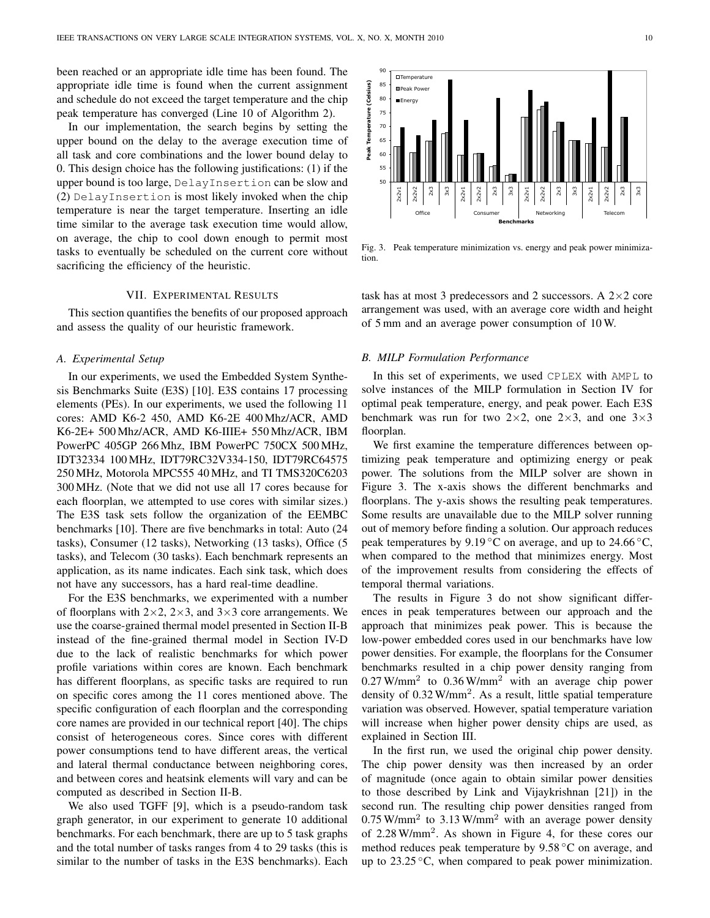been reached or an appropriate idle time has been found. The appropriate idle time is found when the current assignment and schedule do not exceed the target temperature and the chip peak temperature has converged (Line 10 of Algorithm 2).

In our implementation, the search begins by setting the upper bound on the delay to the average execution time of all task and core combinations and the lower bound delay to 0. This design choice has the following justifications: (1) if the upper bound is too large, DelayInsertion can be slow and (2) DelayInsertion is most likely invoked when the chip temperature is near the target temperature. Inserting an idle time similar to the average task execution time would allow, on average, the chip to cool down enough to permit most tasks to eventually be scheduled on the current core without sacrificing the efficiency of the heuristic.

## VII. EXPERIMENTAL RESULTS

This section quantifies the benefits of our proposed approach and assess the quality of our heuristic framework.

## *A. Experimental Setup*

In our experiments, we used the Embedded System Synthesis Benchmarks Suite (E3S) [10]. E3S contains 17 processing elements (PEs). In our experiments, we used the following 11 cores: AMD K6-2 450, AMD K6-2E 400 Mhz/ACR, AMD K6-2E+ 500 Mhz/ACR, AMD K6-IIIE+ 550 Mhz/ACR, IBM PowerPC 405GP 266 Mhz, IBM PowerPC 750CX 500 MHz, IDT32334 100 MHz, IDT79RC32V334-150, IDT79RC64575 250 MHz, Motorola MPC555 40 MHz, and TI TMS320C6203 300 MHz. (Note that we did not use all 17 cores because for each floorplan, we attempted to use cores with similar sizes.) The E3S task sets follow the organization of the EEMBC benchmarks [10]. There are five benchmarks in total: Auto (24 tasks), Consumer (12 tasks), Networking (13 tasks), Office (5 tasks), and Telecom (30 tasks). Each benchmark represents an application, as its name indicates. Each sink task, which does not have any successors, has a hard real-time deadline.

For the E3S benchmarks, we experimented with a number of floorplans with  $2 \times 2$ ,  $2 \times 3$ , and  $3 \times 3$  core arrangements. We use the coarse-grained thermal model presented in Section II-B instead of the fine-grained thermal model in Section IV-D due to the lack of realistic benchmarks for which power profile variations within cores are known. Each benchmark has different floorplans, as specific tasks are required to run on specific cores among the 11 cores mentioned above. The specific configuration of each floorplan and the corresponding core names are provided in our technical report [40]. The chips consist of heterogeneous cores. Since cores with different power consumptions tend to have different areas, the vertical and lateral thermal conductance between neighboring cores, and between cores and heatsink elements will vary and can be computed as described in Section II-B.

We also used TGFF [9], which is a pseudo-random task graph generator, in our experiment to generate 10 additional benchmarks. For each benchmark, there are up to 5 task graphs and the total number of tasks ranges from 4 to 29 tasks (this is similar to the number of tasks in the E3S benchmarks). Each

Office Consumer Networking **Benchmarks**  Fig. 3. Peak temperature minimization vs. energy and peak power minimiza-

task has at most 3 predecessors and 2 successors. A  $2 \times 2$  core arrangement was used, with an average core width and height of 5 mm and an average power consumption of 10 W.

# *B. MILP Formulation Performance*

tion.

In this set of experiments, we used CPLEX with AMPL to solve instances of the MILP formulation in Section IV for optimal peak temperature, energy, and peak power. Each E3S benchmark was run for two  $2 \times 2$ , one  $2 \times 3$ , and one  $3 \times 3$ floorplan.

We first examine the temperature differences between optimizing peak temperature and optimizing energy or peak power. The solutions from the MILP solver are shown in Figure 3. The x-axis shows the different benchmarks and floorplans. The y-axis shows the resulting peak temperatures. Some results are unavailable due to the MILP solver running out of memory before finding a solution. Our approach reduces peak temperatures by 9.19 °C on average, and up to 24.66 °C, when compared to the method that minimizes energy. Most of the improvement results from considering the effects of temporal thermal variations.

The results in Figure 3 do not show significant differences in peak temperatures between our approach and the approach that minimizes peak power. This is because the low-power embedded cores used in our benchmarks have low power densities. For example, the floorplans for the Consumer benchmarks resulted in a chip power density ranging from  $0.27$  W/mm<sup>2</sup> to  $0.36$  W/mm<sup>2</sup> with an average chip power density of  $0.32$  W/mm<sup>2</sup>. As a result, little spatial temperature variation was observed. However, spatial temperature variation will increase when higher power density chips are used, as explained in Section III.

In the first run, we used the original chip power density. The chip power density was then increased by an order of magnitude (once again to obtain similar power densities to those described by Link and Vijaykrishnan [21]) in the second run. The resulting chip power densities ranged from  $0.75$  W/mm<sup>2</sup> to 3.13 W/mm<sup>2</sup> with an average power density of 2.28 W/mm<sup>2</sup> . As shown in Figure 4, for these cores our method reduces peak temperature by 9.58 ◦C on average, and up to 23.25 ◦C, when compared to peak power minimization.

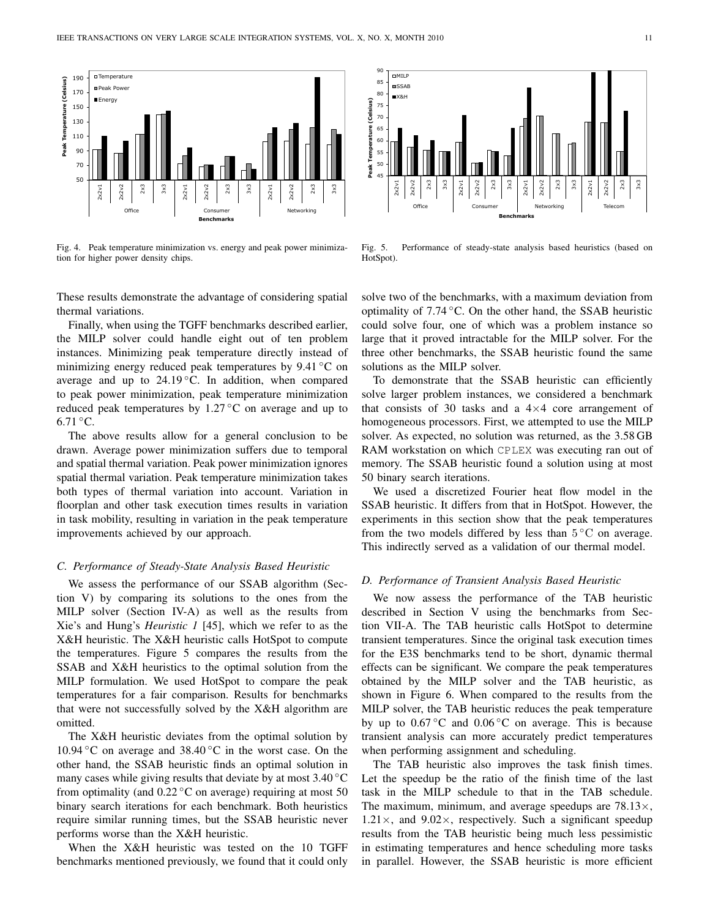

Fig. 4. Peak temperature minimization vs. energy and peak power minimization for higher power density chips.



Fig. 5. Performance of steady-state analysis based heuristics (based on HotSpot).

These results demonstrate the advantage of considering spatial thermal variations.

Finally, when using the TGFF benchmarks described earlier, the MILP solver could handle eight out of ten problem instances. Minimizing peak temperature directly instead of minimizing energy reduced peak temperatures by  $9.41 \degree C$  on average and up to  $24.19\degree$ C. In addition, when compared to peak power minimization, peak temperature minimization reduced peak temperatures by  $1.27\degree$ C on average and up to  $6.71 °C$ .

The above results allow for a general conclusion to be drawn. Average power minimization suffers due to temporal and spatial thermal variation. Peak power minimization ignores spatial thermal variation. Peak temperature minimization takes both types of thermal variation into account. Variation in floorplan and other task execution times results in variation in task mobility, resulting in variation in the peak temperature improvements achieved by our approach.

# *C. Performance of Steady-State Analysis Based Heuristic*

We assess the performance of our SSAB algorithm (Section V) by comparing its solutions to the ones from the MILP solver (Section IV-A) as well as the results from Xie's and Hung's *Heuristic 1* [45], which we refer to as the X&H heuristic. The X&H heuristic calls HotSpot to compute the temperatures. Figure 5 compares the results from the SSAB and X&H heuristics to the optimal solution from the MILP formulation. We used HotSpot to compare the peak temperatures for a fair comparison. Results for benchmarks that were not successfully solved by the X&H algorithm are omitted.

The X&H heuristic deviates from the optimal solution by 10.94 °C on average and 38.40 °C in the worst case. On the other hand, the SSAB heuristic finds an optimal solution in many cases while giving results that deviate by at most  $3.40\degree$ C from optimality (and  $0.22 \degree C$  on average) requiring at most 50 binary search iterations for each benchmark. Both heuristics require similar running times, but the SSAB heuristic never performs worse than the X&H heuristic.

When the X&H heuristic was tested on the 10 TGFF benchmarks mentioned previously, we found that it could only

solve two of the benchmarks, with a maximum deviation from optimality of  $7.74 \degree C$ . On the other hand, the SSAB heuristic could solve four, one of which was a problem instance so large that it proved intractable for the MILP solver. For the three other benchmarks, the SSAB heuristic found the same solutions as the MILP solver.

To demonstrate that the SSAB heuristic can efficiently solve larger problem instances, we considered a benchmark that consists of 30 tasks and a  $4\times4$  core arrangement of homogeneous processors. First, we attempted to use the MILP solver. As expected, no solution was returned, as the 3.58 GB RAM workstation on which CPLEX was executing ran out of memory. The SSAB heuristic found a solution using at most 50 binary search iterations.

We used a discretized Fourier heat flow model in the SSAB heuristic. It differs from that in HotSpot. However, the experiments in this section show that the peak temperatures from the two models differed by less than  $5^{\circ}$ C on average. This indirectly served as a validation of our thermal model.

## *D. Performance of Transient Analysis Based Heuristic*

We now assess the performance of the TAB heuristic described in Section V using the benchmarks from Section VII-A. The TAB heuristic calls HotSpot to determine transient temperatures. Since the original task execution times for the E3S benchmarks tend to be short, dynamic thermal effects can be significant. We compare the peak temperatures obtained by the MILP solver and the TAB heuristic, as shown in Figure 6. When compared to the results from the MILP solver, the TAB heuristic reduces the peak temperature by up to  $0.67 \degree$ C and  $0.06 \degree$ C on average. This is because transient analysis can more accurately predict temperatures when performing assignment and scheduling.

The TAB heuristic also improves the task finish times. Let the speedup be the ratio of the finish time of the last task in the MILP schedule to that in the TAB schedule. The maximum, minimum, and average speedups are  $78.13\times$ ,  $1.21 \times$ , and  $9.02 \times$ , respectively. Such a significant speedup results from the TAB heuristic being much less pessimistic in estimating temperatures and hence scheduling more tasks in parallel. However, the SSAB heuristic is more efficient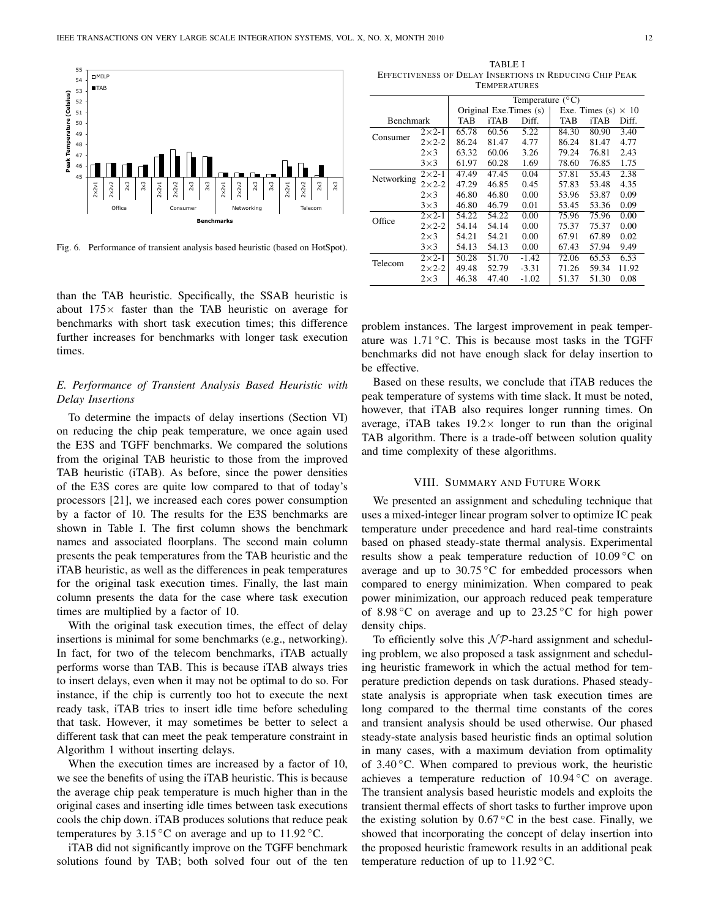

Fig. 6. Performance of transient analysis based heuristic (based on HotSpot).

than the TAB heuristic. Specifically, the SSAB heuristic is about  $175\times$  faster than the TAB heuristic on average for benchmarks with short task execution times; this difference further increases for benchmarks with longer task execution times.

# *E. Performance of Transient Analysis Based Heuristic with Delay Insertions*

To determine the impacts of delay insertions (Section VI) on reducing the chip peak temperature, we once again used the E3S and TGFF benchmarks. We compared the solutions from the original TAB heuristic to those from the improved TAB heuristic (iTAB). As before, since the power densities of the E3S cores are quite low compared to that of today's processors [21], we increased each cores power consumption by a factor of 10. The results for the E3S benchmarks are shown in Table I. The first column shows the benchmark names and associated floorplans. The second main column presents the peak temperatures from the TAB heuristic and the iTAB heuristic, as well as the differences in peak temperatures for the original task execution times. Finally, the last main column presents the data for the case where task execution times are multiplied by a factor of 10.

With the original task execution times, the effect of delay insertions is minimal for some benchmarks (e.g., networking). In fact, for two of the telecom benchmarks, iTAB actually performs worse than TAB. This is because iTAB always tries to insert delays, even when it may not be optimal to do so. For instance, if the chip is currently too hot to execute the next ready task, iTAB tries to insert idle time before scheduling that task. However, it may sometimes be better to select a different task that can meet the peak temperature constraint in Algorithm 1 without inserting delays.

When the execution times are increased by a factor of 10, we see the benefits of using the iTAB heuristic. This is because the average chip peak temperature is much higher than in the original cases and inserting idle times between task executions cools the chip down. iTAB produces solutions that reduce peak temperatures by  $3.15\,^{\circ}\text{C}$  on average and up to  $11.92\,^{\circ}\text{C}$ .

iTAB did not significantly improve on the TGFF benchmark solutions found by TAB; both solved four out of the ten

| TABLE I                                                 |  |  |  |  |  |  |
|---------------------------------------------------------|--|--|--|--|--|--|
| EFFECTIVENESS OF DELAY INSERTIONS IN REDUCING CHIP PEAK |  |  |  |  |  |  |
| <b>TEMPERATURES</b>                                     |  |  |  |  |  |  |

|            |               | Temperature $(^{\circ}C)$ |                        |         |       |                                 |       |  |
|------------|---------------|---------------------------|------------------------|---------|-------|---------------------------------|-------|--|
|            |               |                           | Original Exe.Times (s) |         |       | Exe. Times $(s)$<br>$\times$ 10 |       |  |
| Benchmark  |               | TAB                       | iTAB                   | Diff.   | TAB   | iTAB                            | Diff. |  |
| Consumer   | $2\times 2-1$ | 65.78                     | 60.56                  | 5.22    | 84.30 | 80.90                           | 3.40  |  |
|            | $2\times 2-2$ | 86.24                     | 81.47                  | 4.77    | 86.24 | 81.47                           | 4.77  |  |
|            | $2\times3$    | 63.32                     | 60.06                  | 3.26    | 79.24 | 76.81                           | 2.43  |  |
|            | $3\times3$    | 61.97                     | 60.28                  | 1.69    | 78.60 | 76.85                           | 1.75  |  |
| Networking | $2\times 2-1$ | 47.49                     | 47.45                  | 0.04    | 57.81 | 55.43                           | 2.38  |  |
|            | $2\times 2-2$ | 47.29                     | 46.85                  | 0.45    | 57.83 | 53.48                           | 4.35  |  |
|            | $2\times3$    | 46.80                     | 46.80                  | 0.00    | 53.96 | 53.87                           | 0.09  |  |
|            | $3\times3$    | 46.80                     | 46.79                  | 0.01    | 53.45 | 53.36                           | 0.09  |  |
| Office     | $2\times 2-1$ | 54.22                     | 54.22                  | 0.00    | 75.96 | 75.96                           | 0.00  |  |
|            | $2\times 2-2$ | 54.14                     | 54.14                  | 0.00    | 75.37 | 75.37                           | 0.00  |  |
|            | $2\times3$    | 54.21                     | 54.21                  | 0.00    | 67.91 | 67.89                           | 0.02  |  |
|            | $3\times3$    | 54.13                     | 54.13                  | 0.00    | 67.43 | 57.94                           | 9.49  |  |
| Telecom    | $2\times 2-1$ | 50.28                     | 51.70                  | $-1.42$ | 72.06 | 65.53                           | 6.53  |  |
|            | $2\times 2-2$ | 49.48                     | 52.79                  | $-3.31$ | 71.26 | 59.34                           | 11.92 |  |
|            | $2\times3$    | 46.38                     | 47.40                  | $-1.02$ | 51.37 | 51.30                           | 0.08  |  |

problem instances. The largest improvement in peak temperature was  $1.71\textdegree C$ . This is because most tasks in the TGFF benchmarks did not have enough slack for delay insertion to be effective.

Based on these results, we conclude that iTAB reduces the peak temperature of systems with time slack. It must be noted, however, that iTAB also requires longer running times. On average, iTAB takes  $19.2 \times$  longer to run than the original TAB algorithm. There is a trade-off between solution quality and time complexity of these algorithms.

# VIII. SUMMARY AND FUTURE WORK

We presented an assignment and scheduling technique that uses a mixed-integer linear program solver to optimize IC peak temperature under precedence and hard real-time constraints based on phased steady-state thermal analysis. Experimental results show a peak temperature reduction of  $10.09\degree$ C on average and up to  $30.75\,^{\circ}\text{C}$  for embedded processors when compared to energy minimization. When compared to peak power minimization, our approach reduced peak temperature of 8.98  $\degree$ C on average and up to 23.25  $\degree$ C for high power density chips.

To efficiently solve this  $N \mathcal{P}$ -hard assignment and scheduling problem, we also proposed a task assignment and scheduling heuristic framework in which the actual method for temperature prediction depends on task durations. Phased steadystate analysis is appropriate when task execution times are long compared to the thermal time constants of the cores and transient analysis should be used otherwise. Our phased steady-state analysis based heuristic finds an optimal solution in many cases, with a maximum deviation from optimality of  $3.40\degree$ C. When compared to previous work, the heuristic achieves a temperature reduction of  $10.94\degree C$  on average. The transient analysis based heuristic models and exploits the transient thermal effects of short tasks to further improve upon the existing solution by  $0.67^{\circ}$ C in the best case. Finally, we showed that incorporating the concept of delay insertion into the proposed heuristic framework results in an additional peak temperature reduction of up to  $11.92 \degree C$ .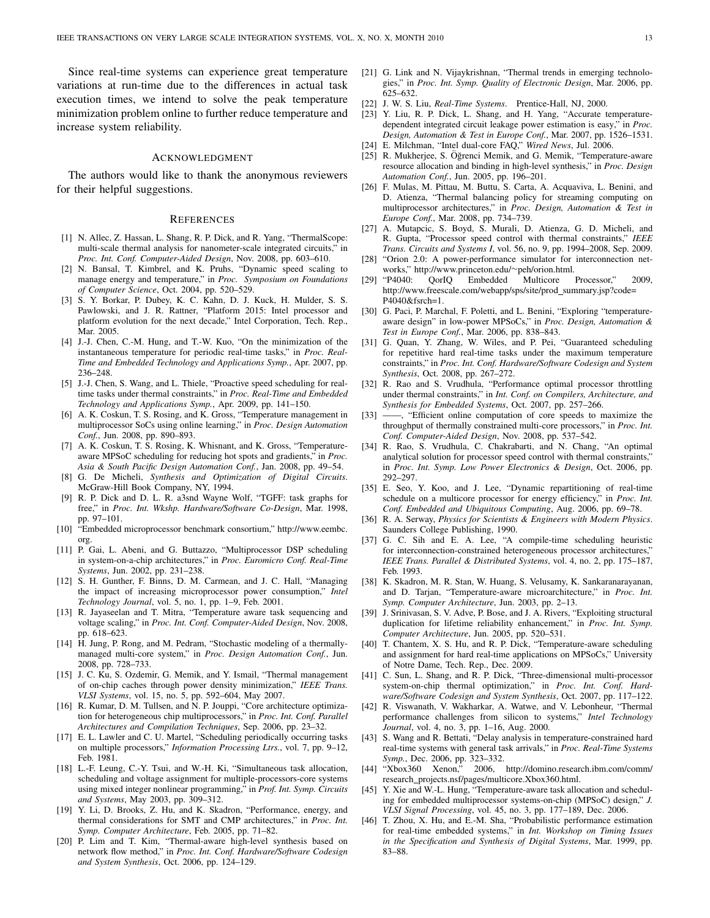Since real-time systems can experience great temperature variations at run-time due to the differences in actual task execution times, we intend to solve the peak temperature minimization problem online to further reduce temperature and increase system reliability.

## ACKNOWLEDGMENT

The authors would like to thank the anonymous reviewers for their helpful suggestions.

#### **REFERENCES**

- [1] N. Allec, Z. Hassan, L. Shang, R. P. Dick, and R. Yang, "ThermalScope: multi-scale thermal analysis for nanometer-scale integrated circuits," in *Proc. Int. Conf. Computer-Aided Design*, Nov. 2008, pp. 603–610.
- [2] N. Bansal, T. Kimbrel, and K. Pruhs, "Dynamic speed scaling to manage energy and temperature," in *Proc. Symposium on Foundations of Computer Science*, Oct. 2004, pp. 520–529.
- [3] S. Y. Borkar, P. Dubey, K. C. Kahn, D. J. Kuck, H. Mulder, S. S. Pawlowski, and J. R. Rattner, "Platform 2015: Intel processor and platform evolution for the next decade," Intel Corporation, Tech. Rep., Mar. 2005.
- [4] J.-J. Chen, C.-M. Hung, and T.-W. Kuo, "On the minimization of the instantaneous temperature for periodic real-time tasks," in *Proc. Real-Time and Embedded Technology and Applications Symp.*, Apr. 2007, pp. 236–248.
- [5] J.-J. Chen, S. Wang, and L. Thiele, "Proactive speed scheduling for realtime tasks under thermal constraints," in *Proc. Real-Time and Embedded Technology and Applications Symp.*, Apr. 2009, pp. 141–150.
- [6] A. K. Coskun, T. S. Rosing, and K. Gross, "Temperature management in multiprocessor SoCs using online learning," in *Proc. Design Automation Conf.*, Jun. 2008, pp. 890–893.
- [7] A. K. Coskun, T. S. Rosing, K. Whisnant, and K. Gross, "Temperatureaware MPSoC scheduling for reducing hot spots and gradients," in *Proc. Asia & South Pacific Design Automation Conf.*, Jan. 2008, pp. 49–54.
- [8] G. De Micheli, *Synthesis and Optimization of Digital Circuits*. McGraw-Hill Book Company, NY, 1994.
- [9] R. P. Dick and D. L. R. a3snd Wayne Wolf, "TGFF: task graphs for free," in *Proc. Int. Wkshp. Hardware/Software Co-Design*, Mar. 1998, pp. 97–101.
- [10] "Embedded microprocessor benchmark consortium," http://www.eembc. org.
- [11] P. Gai, L. Abeni, and G. Buttazzo, "Multiprocessor DSP scheduling in system-on-a-chip architectures," in *Proc. Euromicro Conf. Real-Time Systems*, Jun. 2002, pp. 231–238.
- [12] S. H. Gunther, F. Binns, D. M. Carmean, and J. C. Hall, "Managing the impact of increasing microprocessor power consumption," *Intel Technology Journal*, vol. 5, no. 1, pp. 1–9, Feb. 2001.
- [13] R. Jayaseelan and T. Mitra, "Temperature aware task sequencing and voltage scaling," in *Proc. Int. Conf. Computer-Aided Design*, Nov. 2008, pp. 618–623.
- [14] H. Jung, P. Rong, and M. Pedram, "Stochastic modeling of a thermallymanaged multi-core system," in *Proc. Design Automation Conf.*, Jun. 2008, pp. 728–733.
- [15] J. C. Ku, S. Ozdemir, G. Memik, and Y. Ismail, "Thermal management of on-chip caches through power density minimization," *IEEE Trans. VLSI Systems*, vol. 15, no. 5, pp. 592–604, May 2007.
- [16] R. Kumar, D. M. Tullsen, and N. P. Jouppi, "Core architecture optimization for heterogeneous chip multiprocessors," in *Proc. Int. Conf. Parallel Architectures and Compilation Techniques*, Sep. 2006, pp. 23–32.
- [17] E. L. Lawler and C. U. Martel, "Scheduling periodically occurring tasks on multiple processors," *Information Processing Ltrs.*, vol. 7, pp. 9–12, Feb. 1981.
- [18] L.-F. Leung, C.-Y. Tsui, and W.-H. Ki, "Simultaneous task allocation, scheduling and voltage assignment for multiple-processors-core systems using mixed integer nonlinear programming," in *Prof. Int. Symp. Circuits and Systems*, May 2003, pp. 309–312.
- [19] Y. Li, D. Brooks, Z. Hu, and K. Skadron, "Performance, energy, and thermal considerations for SMT and CMP architectures," in *Proc. Int. Symp. Computer Architecture*, Feb. 2005, pp. 71–82.
- [20] P. Lim and T. Kim, "Thermal-aware high-level synthesis based on network flow method," in *Proc. Int. Conf. Hardware/Software Codesign and System Synthesis*, Oct. 2006, pp. 124–129.
- [21] G. Link and N. Vijaykrishnan, "Thermal trends in emerging technologies," in *Proc. Int. Symp. Quality of Electronic Design*, Mar. 2006, pp. 625–632.
- [22] J. W. S. Liu, *Real-Time Systems*. Prentice-Hall, NJ, 2000.
- [23] Y. Liu, R. P. Dick, L. Shang, and H. Yang, "Accurate temperaturedependent integrated circuit leakage power estimation is easy," in *Proc. Design, Automation & Test in Europe Conf.*, Mar. 2007, pp. 1526–1531.
- [24] E. Milchman, "Intel dual-core FAQ," *Wired News*, Jul. 2006.
- [25] R. Mukherjee, S. Öğrenci Memik, and G. Memik, "Temperature-aware resource allocation and binding in high-level synthesis," in *Proc. Design Automation Conf.*, Jun. 2005, pp. 196–201.
- [26] F. Mulas, M. Pittau, M. Buttu, S. Carta, A. Acquaviva, L. Benini, and D. Atienza, "Thermal balancing policy for streaming computing on multiprocessor architectures," in *Proc. Design, Automation & Test in Europe Conf.*, Mar. 2008, pp. 734–739.
- [27] A. Mutapcic, S. Boyd, S. Murali, D. Atienza, G. D. Micheli, and R. Gupta, "Processor speed control with thermal constraints," *IEEE Trans. Circuits and Systems I*, vol. 56, no. 9, pp. 1994–2008, Sep. 2009.
- [28] "Orion 2.0: A power-performance simulator for interconnection networks," http://www.princeton.edu/∼peh/orion.html.
- [29] "P4040: QorIQ Embedded Multicore Processor," 2009, http://www.freescale.com/webapp/sps/site/prod\_summary.jsp?code= P4040&fsrch=1.
- [30] G. Paci, P. Marchal, F. Poletti, and L. Benini, "Exploring "temperatureaware design" in low-power MPSoCs," in *Proc. Design, Automation & Test in Europe Conf.*, Mar. 2006, pp. 838–843.
- [31] G. Quan, Y. Zhang, W. Wiles, and P. Pei, "Guaranteed scheduling for repetitive hard real-time tasks under the maximum temperature constraints," in *Proc. Int. Conf. Hardware/Software Codesign and System Synthesis*, Oct. 2008, pp. 267–272.
- [32] R. Rao and S. Vrudhula, "Performance optimal processor throttling under thermal constraints," in *Int. Conf. on Compilers, Architecture, and Synthesis for Embedded Systems*, Oct. 2007, pp. 257–266.
- [33] ——, "Efficient online computation of core speeds to maximize the throughput of thermally constrained multi-core processors," in *Proc. Int. Conf. Computer-Aided Design*, Nov. 2008, pp. 537–542.
- [34] R. Rao, S. Vrudhula, C. Chakrabarti, and N. Chang, "An optimal analytical solution for processor speed control with thermal constraints," in *Proc. Int. Symp. Low Power Electronics & Design*, Oct. 2006, pp. 292–297.
- [35] E. Seo, Y. Koo, and J. Lee, "Dynamic repartitioning of real-time schedule on a multicore processor for energy efficiency," in *Proc. Int. Conf. Embedded and Ubiquitous Computing*, Aug. 2006, pp. 69–78.
- [36] R. A. Serway, *Physics for Scientists & Engineers with Modern Physics*. Saunders College Publishing, 1990.
- [37] G. C. Sih and E. A. Lee, "A compile-time scheduling heuristic for interconnection-constrained heterogeneous processor architectures, *IEEE Trans. Parallel & Distributed Systems*, vol. 4, no. 2, pp. 175–187, Feb. 1993.
- [38] K. Skadron, M. R. Stan, W. Huang, S. Velusamy, K. Sankaranarayanan, and D. Tarjan, "Temperature-aware microarchitecture," in *Proc. Int. Symp. Computer Architecture*, Jun. 2003, pp. 2–13.
- [39] J. Srinivasan, S. V. Adve, P. Bose, and J. A. Rivers, "Exploiting structural duplication for lifetime reliability enhancement," in *Proc. Int. Symp. Computer Architecture*, Jun. 2005, pp. 520–531.
- [40] T. Chantem, X. S. Hu, and R. P. Dick, "Temperature-aware scheduling and assignment for hard real-time applications on MPSoCs," University of Notre Dame, Tech. Rep., Dec. 2009.
- [41] C. Sun, L. Shang, and R. P. Dick, "Three-dimensional multi-processor system-on-chip thermal optimization," in *Proc. Int. Conf. Hardware/Software Codesign and System Synthesis*, Oct. 2007, pp. 117–122.
- [42] R. Viswanath, V. Wakharkar, A. Watwe, and V. Lebonheur, "Thermal performance challenges from silicon to systems," *Intel Technology Journal*, vol. 4, no. 3, pp. 1–16, Aug. 2000.
- [43] S. Wang and R. Bettati, "Delay analysis in temperature-constrained hard real-time systems with general task arrivals," in *Proc. Real-Time Systems Symp.*, Dec. 2006, pp. 323–332.
- [44] "Xbox360 Xenon," 2006, http://domino.research.ibm.com/comm/ research projects.nsf/pages/multicore.Xbox360.html.
- [45] Y. Xie and W.-L. Hung, "Temperature-aware task allocation and scheduling for embedded multiprocessor systems-on-chip (MPSoC) design," *J. VLSI Signal Processing*, vol. 45, no. 3, pp. 177–189, Dec. 2006.
- [46] T. Zhou, X. Hu, and E.-M. Sha, "Probabilistic performance estimation for real-time embedded systems," in *Int. Workshop on Timing Issues in the Specification and Synthesis of Digital Systems*, Mar. 1999, pp. 83–88.